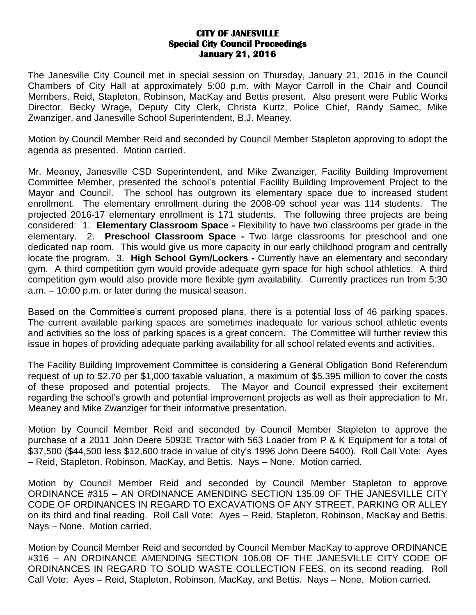## **CITY OF JANESVILLE Special City Council Proceedings January 21, 2016**

The Janesville City Council met in special session on Thursday, January 21, 2016 in the Council Chambers of City Hall at approximately 5:00 p.m. with Mayor Carroll in the Chair and Council Members, Reid, Stapleton, Robinson, MacKay and Bettis present. Also present were Public Works Director, Becky Wrage, Deputy City Clerk, Christa Kurtz, Police Chief, Randy Samec, Mike Zwanziger, and Janesville School Superintendent, B.J. Meaney.

Motion by Council Member Reid and seconded by Council Member Stapleton approving to adopt the agenda as presented. Motion carried.

Mr. Meaney, Janesville CSD Superintendent, and Mike Zwanziger, Facility Building Improvement Committee Member, presented the school's potential Facility Building Improvement Project to the Mayor and Council. The school has outgrown its elementary space due to increased student enrollment. The elementary enrollment during the 2008-09 school year was 114 students. The projected 2016-17 elementary enrollment is 171 students. The following three projects are being considered: 1. **Elementary Classroom Space -** Flexibility to have two classrooms per grade in the elementary. 2. **Preschool Classroom Space -** Two large classrooms for preschool and one dedicated nap room. This would give us more capacity in our early childhood program and centrally locate the program. 3. **High School Gym/Lockers -** Currently have an elementary and secondary gym. A third competition gym would provide adequate gym space for high school athletics. A third competition gym would also provide more flexible gym availability. Currently practices run from 5:30 a.m. – 10:00 p.m. or later during the musical season.

Based on the Committee's current proposed plans, there is a potential loss of 46 parking spaces. The current available parking spaces are sometimes inadequate for various school athletic events and activities so the loss of parking spaces is a great concern. The Committee will further review this issue in hopes of providing adequate parking availability for all school related events and activities.

The Facility Building Improvement Committee is considering a General Obligation Bond Referendum request of up to \$2.70 per \$1,000 taxable valuation, a maximum of \$5.395 million to cover the costs of these proposed and potential projects. The Mayor and Council expressed their excitement regarding the school's growth and potential improvement projects as well as their appreciation to Mr. Meaney and Mike Zwanziger for their informative presentation.

Motion by Council Member Reid and seconded by Council Member Stapleton to approve the purchase of a 2011 John Deere 5093E Tractor with 563 Loader from P & K Equipment for a total of \$37,500 (\$44,500 less \$12,600 trade in value of city's 1996 John Deere 5400). Roll Call Vote: Ayes – Reid, Stapleton, Robinson, MacKay, and Bettis. Nays – None. Motion carried.

Motion by Council Member Reid and seconded by Council Member Stapleton to approve ORDINANCE #315 – AN ORDINANCE AMENDING SECTION 135.09 OF THE JANESVILLE CITY CODE OF ORDINANCES IN REGARD TO EXCAVATIONS OF ANY STREET, PARKING OR ALLEY on its third and final reading. Roll Call Vote: Ayes – Reid, Stapleton, Robinson, MacKay and Bettis. Nays – None. Motion carried.

Motion by Council Member Reid and seconded by Council Member MacKay to approve ORDINANCE #316 – AN ORDINANCE AMENDING SECTION 106.08 OF THE JANESVILLE CITY CODE OF ORDINANCES IN REGARD TO SOLID WASTE COLLECTION FEES, on its second reading. Roll Call Vote: Ayes – Reid, Stapleton, Robinson, MacKay, and Bettis. Nays – None. Motion carried.